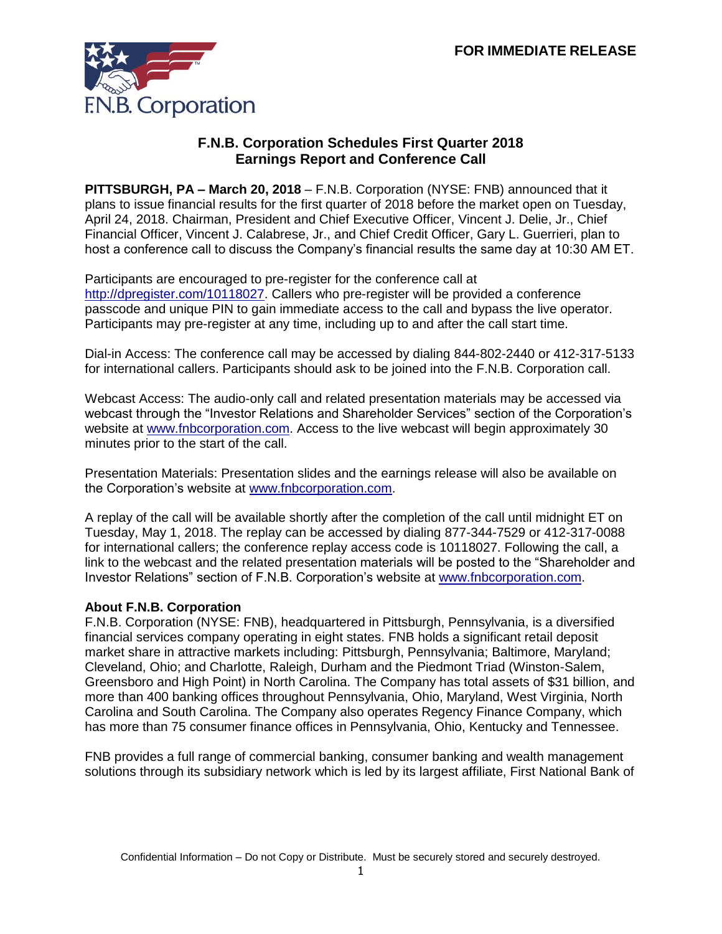

## **F.N.B. Corporation Schedules First Quarter 2018 Earnings Report and Conference Call**

**PITTSBURGH, PA – March 20, 2018** – F.N.B. Corporation (NYSE: FNB) announced that it plans to issue financial results for the first quarter of 2018 before the market open on Tuesday, April 24, 2018. Chairman, President and Chief Executive Officer, Vincent J. Delie, Jr., Chief Financial Officer, Vincent J. Calabrese, Jr., and Chief Credit Officer, Gary L. Guerrieri, plan to host a conference call to discuss the Company's financial results the same day at 10:30 AM ET.

Participants are encouraged to pre-register for the conference call at [http://dpregister.com/10118027.](http://dpregister.com/10118027) Callers who pre-register will be provided a conference passcode and unique PIN to gain immediate access to the call and bypass the live operator. Participants may pre-register at any time, including up to and after the call start time.

Dial-in Access: The conference call may be accessed by dialing 844-802-2440 or 412-317-5133 for international callers. Participants should ask to be joined into the F.N.B. Corporation call.

Webcast Access: The audio-only call and related presentation materials may be accessed via webcast through the "Investor Relations and Shareholder Services" section of the Corporation's website at [www.fnbcorporation.com.](http://www.fnbcorporation.com/) Access to the live webcast will begin approximately 30 minutes prior to the start of the call.

Presentation Materials: Presentation slides and the earnings release will also be available on the Corporation's website at [www.fnbcorporation.com.](http://www.fnbcorporation.com/)

A replay of the call will be available shortly after the completion of the call until midnight ET on Tuesday, May 1, 2018. The replay can be accessed by dialing 877-344-7529 or 412-317-0088 for international callers; the conference replay access code is 10118027. Following the call, a link to the webcast and the related presentation materials will be posted to the "Shareholder and Investor Relations" section of F.N.B. Corporation's website at [www.fnbcorporation.com.](http://www.fnbcorporation.com/)

## **About F.N.B. Corporation**

F.N.B. Corporation (NYSE: FNB), headquartered in Pittsburgh, Pennsylvania, is a diversified financial services company operating in eight states. FNB holds a significant retail deposit market share in attractive markets including: Pittsburgh, Pennsylvania; Baltimore, Maryland; Cleveland, Ohio; and Charlotte, Raleigh, Durham and the Piedmont Triad (Winston-Salem, Greensboro and High Point) in North Carolina. The Company has total assets of \$31 billion, and more than 400 banking offices throughout Pennsylvania, Ohio, Maryland, West Virginia, North Carolina and South Carolina. The Company also operates Regency Finance Company, which has more than 75 consumer finance offices in Pennsylvania, Ohio, Kentucky and Tennessee.

FNB provides a full range of commercial banking, consumer banking and wealth management solutions through its subsidiary network which is led by its largest affiliate, First National Bank of